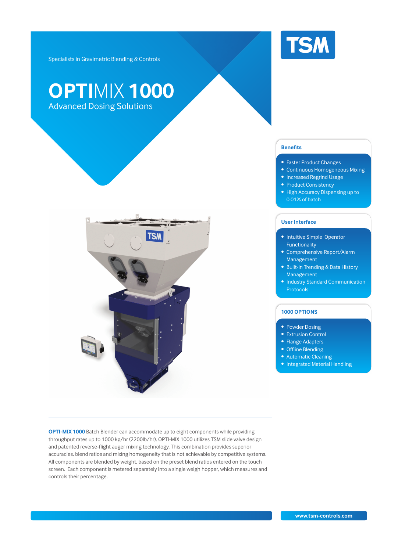

Specialists in Gravimetric Blending & Controls

## **OPTI**MIX **1000** Advanced Dosing Solutions



**OPTI-MIX 1000** Batch Blender can accommodate up to eight components while providing throughput rates up to 1000 kg/hr (2200lb/hr). OPTI-MIX 1000 utilizes TSM slide valve design and patented reverse-flight auger mixing technology. This combination provides superior accuracies, blend ratios and mixing homogeneity that is not achievable by competitive systems. All components are blended by weight, based on the preset blend ratios entered on the touch screen. Each component is metered separately into a single weigh hopper, which measures and controls their percentage.

## **Benefits**

- **Faster Product Changes**
- Continuous Homogeneous Mixing
- Increased Regrind Usage
- Product Consistency
- High Accuracy Dispensing up to 0.01% of batch

## **User Interface**

- Intuitive Simple Operator Functionality
- Comprehensive Report/Alarm Management
- Built-in Trending & Data History Management
- Industry Standard Communication Protocols

## **1000 OPTIONS**

- Powder Dosing
- Extrusion Control
- Flange Adapters
- Offline Blending
- Automatic Cleaning
- Integrated Material Handling